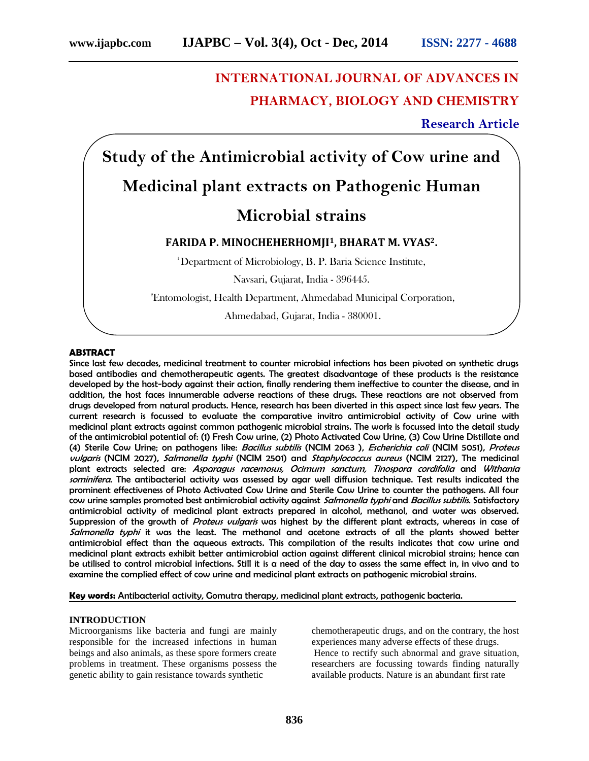# **INTERNATIONAL JOURNAL OF ADVANCES IN PHARMACY, BIOLOGY AND CHEMISTRY**

**Research Article**

**Study of the Antimicrobial activity of Cow urine and Medicinal plant extracts on Pathogenic Human**

# **Microbial strains**

# **FARIDA P. MINOCHEHERHOMJI1, BHARAT M. VYAS2.**

<sup>1</sup>Department of Microbiology, B. P. Baria Science Institute,

Navsari, Gujarat, India - 396445.

<sup>2</sup>Entomologist, Health Department, Ahmedabad Municipal Corporation,

Ahmedabad, Gujarat, India - 380001.

#### **ABSTRACT**

Since last few decades, medicinal treatment to counter microbial infections has been pivoted on synthetic drugs based antibodies and chemotherapeutic agents. The greatest disadvantage of these products is the resistance developed by the host-body against their action, finally rendering them ineffective to counter the disease, and in addition, the host faces innumerable adverse reactions of these drugs. These reactions are not observed from drugs developed from natural products. Hence, research has been diverted in this aspect since last few years. The current research is focussed to evaluate the comparative invitro antimicrobial activity of Cow urine with medicinal plant extracts against common pathogenic microbial strains. The work is focussed into the detail study of the antimicrobial potential of: (1) Fresh Cow urine, (2) Photo Activated Cow Urine, (3) Cow Urine Distillate and (4) Sterile Cow Urine; on pathogens like: *Bacillus subtilis* (NCIM 2063 ), *Escherichia coli* (NCIM 5051), *Proteus vulgaris* (NCIM 2027), *Salmonella typhi* (NCIM 2501) and *Staphylococcus aureus* (NCIM 2127), The medicinal plant extracts selected are: *Asparagus racemosus, Ocimum sanctum, Tinospora cordifolia* and *Withania sominifera*. The antibacterial activity was assessed by agar well diffusion technique. Test results indicated the prominent effectiveness of Photo Activated Cow Urine and Sterile Cow Urine to counter the pathogens. All four cow urine samples promoted best antimicrobial activity against *Salmonella typhi* and *Bacillus subtilis*. Satisfactory antimicrobial activity of medicinal plant extracts prepared in alcohol, methanol, and water was observed. Suppression of the growth of *Proteus vulgaris* was highest by the different plant extracts, whereas in case of *Salmonella typhi* it was the least. The methanol and acetone extracts of all the plants showed better antimicrobial effect than the aqueous extracts. This compilation of the results indicates that cow urine and medicinal plant extracts exhibit better antimicrobial action against different clinical microbial strains; hence can be utilised to control microbial infections. Still it is a need of the day to assess the same effect in, in vivo and to examine the complied effect of cow urine and medicinal plant extracts on pathogenic microbial strains.

**Key words:** Antibacterial activity, Gomutra therapy, medicinal plant extracts, pathogenic bacteria.

# **INTRODUCTION**

Microorganisms like bacteria and fungi are mainly responsible for the increased infections in human beings and also animals, as these spore formers create problems in treatment. These organisms possess the genetic ability to gain resistance towards synthetic

chemotherapeutic drugs, and on the contrary, the host experiences many adverse effects of these drugs. Hence to rectify such abnormal and grave situation, researchers are focussing towards finding naturally available products. Nature is an abundant first rate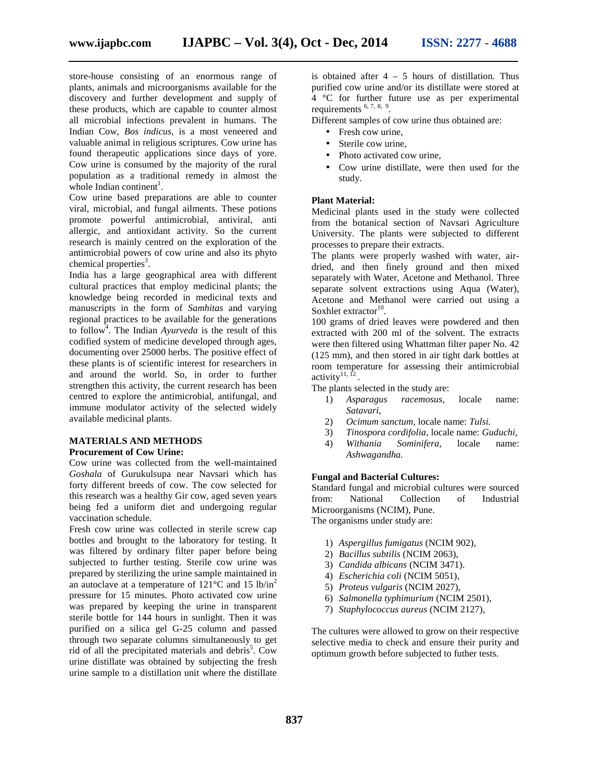store-house consisting of an enormous range of plants, animals and microorganisms available for the discovery and further development and supply of these products, which are capable to counter almost all microbial infections prevalent in humans. The Indian Cow, *Bos indicus,* is a most veneered and valuable animal in religious scriptures. Cow urine has found therapeutic applications since days of yore. Cow urine is consumed by the majority of the rural population as a traditional remedy in almost the whole Indian continent<sup>1</sup>.

Cow urine based preparations are able to counter viral, microbial, and fungal ailments. These potions promote powerful antimicrobial, antiviral, anti allergic, and antioxidant activity. So the current research is mainly centred on the exploration of the antimicrobial powers of cow urine and also its phyto  $chemical$  properties<sup>3</sup>.

India has a large geographical area with different cultural practices that employ medicinal plants; the knowledge being recorded in medicinal texts and manuscripts in the form of *Samhitas* and varying regional practices to be available for the generations to follow<sup>4</sup>. The Indian *Ayurveda* is the result of this codified system of medicine developed through ages, documenting over 25000 herbs. The positive effect of these plants is of scientific interest for researchers in and around the world. So, in order to further strengthen this activity, the current research has been centred to explore the antimicrobial, antifungal, and immune modulator activity of the selected widely available medicinal plants.

# **MATERIALS AND METHODS**

### **Procurement of Cow Urine:**

Cow urine was collected from the well-maintained *Goshala* of Gurukulsupa near Navsari which has forty different breeds of cow. The cow selected for this research was a healthy Gir cow, aged seven years being fed a uniform diet and undergoing regular vaccination schedule.

Fresh cow urine was collected in sterile screw cap bottles and brought to the laboratory for testing. It was filtered by ordinary filter paper before being subjected to further testing. Sterile cow urine was prepared by sterilizing the urine sample maintained in an autoclave at a temperature of  $121^{\circ}$ C and  $15$  lb/in<sup>2</sup> pressure for 15 minutes. Photo activated cow urine was prepared by keeping the urine in transparent sterile bottle for 144 hours in sunlight. Then it was purified on a silica gel G-25 column and passed through two separate columns simultaneously to get rid of all the precipitated materials and debris<sup>5</sup>. Cow ontiurine distillate was obtained by subjecting the fresh urine sample to a distillation unit where the distillate

is obtained after  $4 - 5$  hours of distillation. Thus purified cow urine and/or its distillate were stored at 4 °C for further future use as per experimental requirements 6, 7, 8, <sup>9</sup> .

Different samples of cow urine thus obtained are:

- Fresh cow urine,
- Sterile cow urine,
- Photo activated cow urine,
- Cow urine distillate, were then used for the study.

# **Plant Material:**

Medicinal plants used in the study were collected from the botanical section of Navsari Agriculture University. The plants were subjected to different processes to prepare their extracts.

The plants were properly washed with water, air dried, and then finely ground and then mixed separately with Water, Acetone and Methanol. Three separate solvent extractions using Aqua (Water), Acetone and Methanol were carried out using a Soxhlet extractor $10$ . .

100 grams of dried leaves were powdered and then extracted with 200 ml of the solvent. The extracts were then filtered using Whattman filter paper No. 42 (125 mm), and then stored in air tight dark bottles at room temperature for assessing their antimicrobial activity $^{11, 12}$ .

The plants selected in the study are:

- 1) *Asparagus racemosus*, locale name: *Satavari,*
- 2) *Ocimum sanctum*, locale name: *Tulsi.*
- 3) *Tinospora cordifolia*, locale name: *Guduchi,*
- 4) *Withania Sominifera*, locale name: *Ashwagandha.*

#### **Fungal and Bacterial Cultures:**

Standard fungal and microbial cultures were sourced<br>from: National Collection of Industrial from: National Collection of Industrial Microorganisms (NCIM), Pune. The organisms under study are:

- 1) *Aspergillus fumigatus* (NCIM 902),
- 2) *Bacillus subtilis* (NCIM 2063),
- 3) *Candida albicans* (NCIM 3471).
- 4) *Escherichia coli* (NCIM 5051),
- 5) *Proteus vulgaris* (NCIM 2027),
- 6) *Salmonella typhimurium* (NCIM 2501),
- 7) *Staphylococcus aureus* (NCIM 2127),

The cultures were allowed to grow on their respective selective media to check and ensure their purity and optimum growth before subjected to futher tests.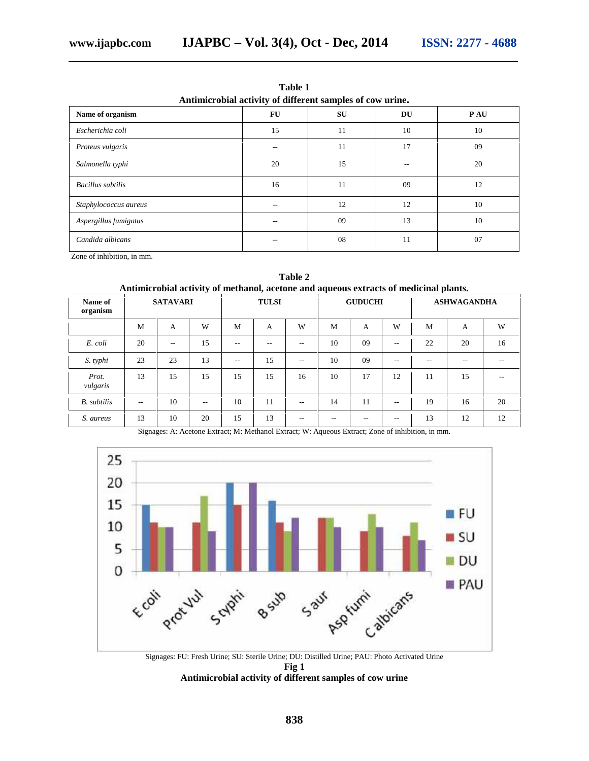| Antimicrobial activity of different samples of cow urine. |       |    |    |            |
|-----------------------------------------------------------|-------|----|----|------------|
| Name of organism                                          | FU    | SU | DU | <b>PAU</b> |
| Escherichia coli                                          | 15    | 11 | 10 | 10         |
| Proteus vulgaris                                          | $- -$ | 11 | 17 | 09         |
| Salmonella typhi                                          | 20    | 15 |    | 20         |
| Bacillus subtilis                                         | 16    | 11 | 09 | 12         |
| Staphylococcus aureus                                     | --    | 12 | 12 | 10         |
| Aspergillus fumigatus                                     | $- -$ | 09 | 13 | 10         |
| Candida albicans                                          | --    | 08 | 11 | 07         |
| Zone of inhibition, in mm.                                |       |    |    |            |

**Table 1**

**Antimicrobial activity of methanol, acetone and aqueous extracts of medicinal plants. Name of organism SATAVARI TULSI GUDUCHI ASHWAGANDHA** M A W M A W M A W M A W *E. coli* | 20 | -- | 15 | -- | -- | 10 | 09 | -- | 22 | 20 | 16 | *S. typhi* | 23 | 23 | 13 | -- | 15 | -- | 10 | 09 | -- | -- | -- | -- | -- | *Prot. vulgaris* 13 | 15 | 15 | 15 | 15 | 16 | 10 | 17 | 12 | 11 | 15 | -- | *B. subtilis*  $\begin{array}{|c|c|c|c|c|c|c|} \hline \end{array}$  10  $\begin{array}{|c|c|c|c|c|c|c|} \hline \end{array}$  11  $\begin{array}{|c|c|c|c|c|} \hline \end{array}$  11  $\begin{array}{|c|c|c|c|c|} \hline \end{array}$  11  $\begin{array}{|c|c|c|c|c|} \hline \end{array}$  11  $\begin{array}{|c|c|c|c|c|} \hline \end{array}$  11  $\begin{array}{|c|c|c|c$ *S. aureus* | 13 | 10 | 20 | 15 | 13 | -- | -- | -- | 13 | 12 | 12 | **acetone and aqueous** Name of SATAVARI TULSI GUDUCHI ASHWAGANDHA organism M A W M A W M A W M<br>20 - 15 - - - 10 09 - 22 *S. typhi*<br>
23 23 13 -- 15 -- 10 09 -- -<br> *Prot.* 13 15 15 15 15 16 10 17 12 11 *B. subtilis* | -- | 10 | -- | 10 | 11 | -- | 14 | 11 | -- | 19  $\frac{15}{13}$ <br>15 *B.* 20

| Table 2                                                                               |  |  |  |  |
|---------------------------------------------------------------------------------------|--|--|--|--|
| Antimicrobial activity of methanol, acetone and aqueous extracts of medicinal plants. |  |  |  |  |

Signages: A: Acetone Extract; M: Methanol Extract; W: Aqueous Extract; Zone of inhibition, in mm.



Signages: FU: Fresh Urine; SU: Sterile Urine; DU: Distilled Urine; PAU: Photo Activated Urine **Fig 1** Antimicrobial activity of different samples of cow urine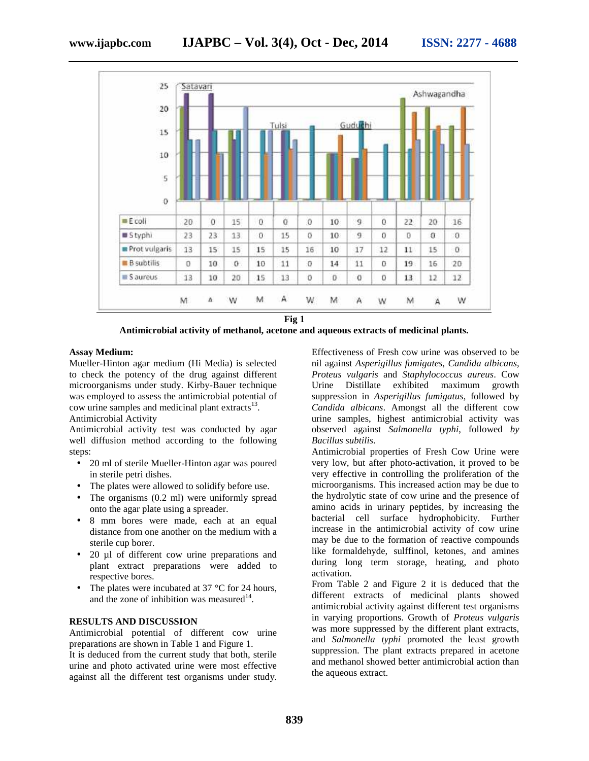

**Fig 1**

**Antimicrobial activity of methanol, acetone and aqueous extracts of medicinal plants.**<br>Assay Medium: Effectiveness of Fresh cow urine was observ

#### **Assay Medium:**

Mueller-Hinton agar medium (Hi Media) is selected to check the potency of the drug against different microorganisms under study. Kirby-Bauer technique Mueller-Hinton agar medium (Hi Media) is selected<br>to check the potency of the drug against different<br>microorganisms under study. Kirby-Bauer technique<br>was employed to assess the antimicrobial potential of cow urine samples and medicinal plant extracts $^{13}$ .

Antimicrobial Activity

Antimicrobial activity test was conducted by agar well diffusion method according to the following steps: Antimicrobial Activity<br>
Antimicrobial activity test was conducted by agar<br>
well diffusion method according to the following<br>
steps:<br>
• 20 ml of sterile Mueller-Hinton agar was poured<br>
in sterile petri dishes.<br>
• The plates

- 20 ml of sterile Mueller-Hinton agar was poured in sterile petri dishes.
- The plates were allowed to solidify before use.
- The organisms (0.2 ml) were uniformly spread onto the agar plate using a spreader.
- 8 mm bores were made, each at an equal distance from one another on the medium with a sterile cup borer.
- 20 µl of different cow urine preparations and plant extract preparations were added to respective bores.
- The plates were incubated at 37 °C for 24 hours, and the zone of inhibition was measured $14$ . respective bores.<br>The plates were incubated at 37 °C for 24!<br>and the zone of inhibition was measured<sup>14</sup>.

#### **RESULTS AND DISCUSSION DISCUSSION**

Antimicrobial potential of different cow urine preparations are shown in Table 1 and Figure 1. It is deduced from the current study that both, sterile urine and photo activated urine were most effective against all the different test organisms under study. Effectiveness of Fresh cow urine was observed to be nil against *Asperigillus fumigates*, *Candida albicans, Proteus vulgaris* and *Staphylococcus aureus*. Cow Urine Distillate exhibited maximum growth suppression in *Asperigillus fumigatus*, followed by *Candida albicans*. Amongst all the different cow *albicans*urine samples, highest antimicrobial activity was observed against *Salmonella typhi*, followed *by Bacillus subtilis*.

Antimicrobial properties of Fresh Cow Urine were very low, but after photo-activation, it proved to be very effective in controlling the proliferation of the microorganisms. This increased action may be due to the hydrolytic state of cow urine and the presence of amino acids in urinary peptides, by increasing the bacterial cell surface hydrophobicity. Further increase in the antimicrobial activity of cow urine may be due to the formation of reactive compounds like formaldehyde, sulffinol, ketones, and amines during long term storage, heating, and photo activation. **Assume Medium** (Engthe age medium (Hi Media) is selected entired in a generation of hexange of Fresh was besone of the property of the different properties and Staphylococcus annexes to be check properties and Staphylococ Antimicrobial properties of Fresh Cow Urine were<br>very low, but after photo-activation, it proved to be<br>very effective in controlling the proliferation of the<br>microorganisms. This increased action may be due to<br>the hydrolyt

From Table 2 and Figure 2 it is deduced that the different extracts of medicinal plants showed antimicrobial activity against different test organisms in varying proportions. Growth of *Proteus vulgaris* was more suppressed by the different plant extracts, and *Salmonella typhi* promoted the least growth suppression. The plant extracts prepared in acetone and methanol showed better antimicrobial action than the aqueous extract. extracts in a ratio activity in a ratio of the right of the suppression. The plant extracts prepared in ace<br>of activated urine were most effective and methanol showed better antimicrobial action<br>action the aqueous extract.